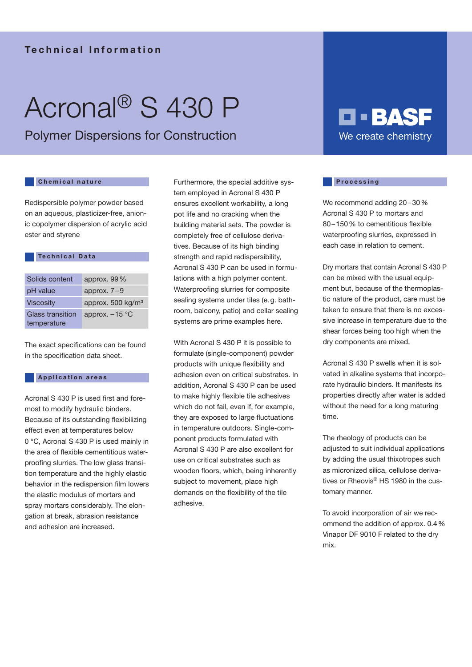### Technical Information

# Acronal® S 430 P

Polymer Dispersions for Construction

#### Chemical nature

**Technical Data** 

Redispersible polymer powder based on an aqueous, plasticizer-free, anionic copolymer dispersion of acrylic acid ester and styrene

| Solids content                  | approx. $99\%$               |
|---------------------------------|------------------------------|
| pH value                        | approx. $7-9$                |
| <b>Viscosity</b>                | approx. $500 \text{ kg/m}^3$ |
| Glass transition<br>temperature | approx. $-15$ °C             |

The exact specifications can be found in the specification data sheet.

#### Application areas

Acronal S 430 P is used first and foremost to modify hydraulic binders. Because of its outstanding flexibilizing effect even at temperatures below 0 °C, Acronal S 430 P is used mainly in the area of flexible cementitious waterproofing slurries. The low glass transition temperature and the highly elastic behavior in the redispersion film lowers the elastic modulus of mortars and spray mortars considerably. The elongation at break, abrasion resistance and adhesion are increased.

Furthermore, the special additive system employed in Acronal S 430 P ensures excellent workability, a long pot life and no cracking when the building material sets. The powder is completely free of cellulose derivatives. Because of its high binding strength and rapid redispersibility, Acronal S 430 P can be used in formulations with a high polymer content. Waterproofing slurries for composite sealing systems under tiles (e.g. bathroom, balcony, patio) and cellar sealing systems are prime examples here.

With Acronal S 430 P it is possible to formulate (single-component) powder products with unique flexibility and adhesion even on critical substrates. In addition, Acronal S 430 P can be used to make highly flexible tile adhesives which do not fail, even if, for example, they are exposed to large fluctuations in temperature outdoors. Single-component products formulated with Acronal S 430 P are also excellent for use on critical substrates such as wooden floors, which, being inherently subject to movement, place high demands on the flexibility of the tile adhesive.

## **O - BASF** We create chemistry

#### **Processing**

We recommend adding 20–30% Acronal S 430 P to mortars and 80–150% to cementitious flexible waterproofing slurries, expressed in each case in relation to cement.

Dry mortars that contain Acronal S 430 P can be mixed with the usual equipment but, because of the thermoplastic nature of the product, care must be taken to ensure that there is no excessive increase in temperature due to the shear forces being too high when the dry components are mixed.

Acronal S 430 P swells when it is solvated in alkaline systems that incorporate hydraulic binders. It manifests its properties directly after water is added without the need for a long maturing time.

The rheology of products can be adjusted to suit individual applications by adding the usual thixotropes such as micronized silica, cellulose derivatives or Rheovis® HS 1980 in the customary manner.

To avoid incorporation of air we recommend the addition of approx. 0.4% Vinapor DF 9010 F related to the dry mix.